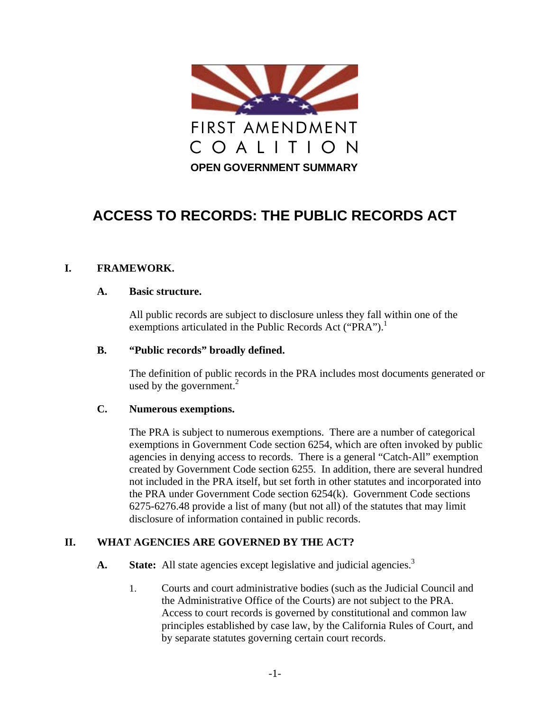

# **ACCESS TO RECORDS: THE PUBLIC RECORDS ACT**

## **I. FRAMEWORK.**

#### **A. Basic structure.**

All public records are subject to disclosure unless they fall within one of the exemptions articulated in the Public Records Act ("PRA").<sup>1</sup>

#### **B. "Public records" broadly defined.**

The definition of public records in the PRA includes most documents generated or used by the government. $^{2}$ 

#### **C. Numerous exemptions.**

The PRA is subject to numerous exemptions. There are a number of categorical exemptions in Government Code section 6254, which are often invoked by public agencies in denying access to records. There is a general "Catch-All" exemption created by Government Code section 6255. In addition, there are several hundred not included in the PRA itself, but set forth in other statutes and incorporated into the PRA under Government Code section 6254(k). Government Code sections 6275-6276.48 provide a list of many (but not all) of the statutes that may limit disclosure of information contained in public records.

## **II. WHAT AGENCIES ARE GOVERNED BY THE ACT?**

- **A. State:** All state agencies except legislative and judicial agencies.<sup>3</sup>
	- 1. Courts and court administrative bodies (such as the Judicial Council and the Administrative Office of the Courts) are not subject to the PRA. Access to court records is governed by constitutional and common law principles established by case law, by the California Rules of Court, and by separate statutes governing certain court records.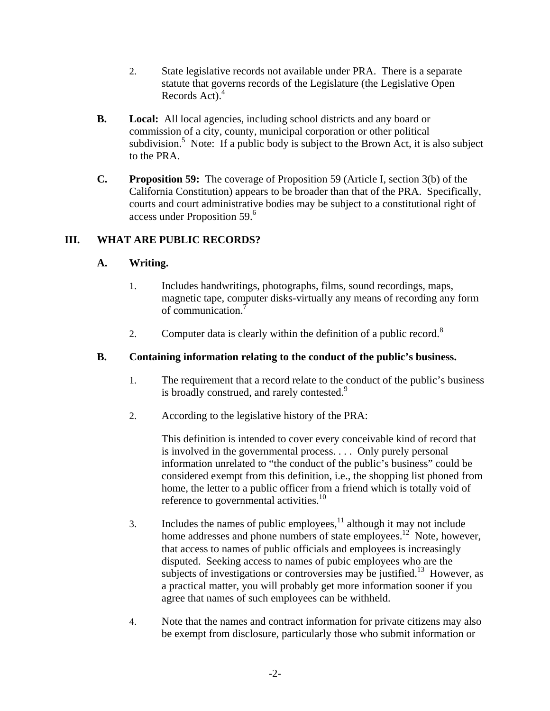- 2. State legislative records not available under PRA. There is a separate statute that governs records of the Legislature (the Legislative Open Records Act). $4$
- **B. Local:** All local agencies, including school districts and any board or commission of a city, county, municipal corporation or other political subdivision.<sup>5</sup> Note: If a public body is subject to the Brown Act, it is also subject to the PRA.
- **C. Proposition 59:** The coverage of Proposition 59 (Article I, section 3(b) of the California Constitution) appears to be broader than that of the PRA. Specifically, courts and court administrative bodies may be subject to a constitutional right of access under Proposition 59.<sup>6</sup>

# **III. WHAT ARE PUBLIC RECORDS?**

# **A. Writing.**

- 1. Includes handwritings, photographs, films, sound recordings, maps, magnetic tape, computer disks-virtually any means of recording any form of communication.7
- 2. Computer data is clearly within the definition of a public record.<sup>8</sup>

# **B. Containing information relating to the conduct of the public's business.**

- 1. The requirement that a record relate to the conduct of the public's business is broadly construed, and rarely contested.<sup>9</sup>
- 2. According to the legislative history of the PRA:

This definition is intended to cover every conceivable kind of record that is involved in the governmental process. . . . Only purely personal information unrelated to "the conduct of the public's business" could be considered exempt from this definition, i.e., the shopping list phoned from home, the letter to a public officer from a friend which is totally void of reference to governmental activities.<sup>10</sup>

- 3. Includes the names of public employees,  $\frac{11}{11}$  although it may not include home addresses and phone numbers of state employees.<sup>12</sup> Note, however, that access to names of public officials and employees is increasingly disputed. Seeking access to names of pubic employees who are the subjects of investigations or controversies may be justified.<sup>13</sup> However, as a practical matter, you will probably get more information sooner if you agree that names of such employees can be withheld.
- 4. Note that the names and contract information for private citizens may also be exempt from disclosure, particularly those who submit information or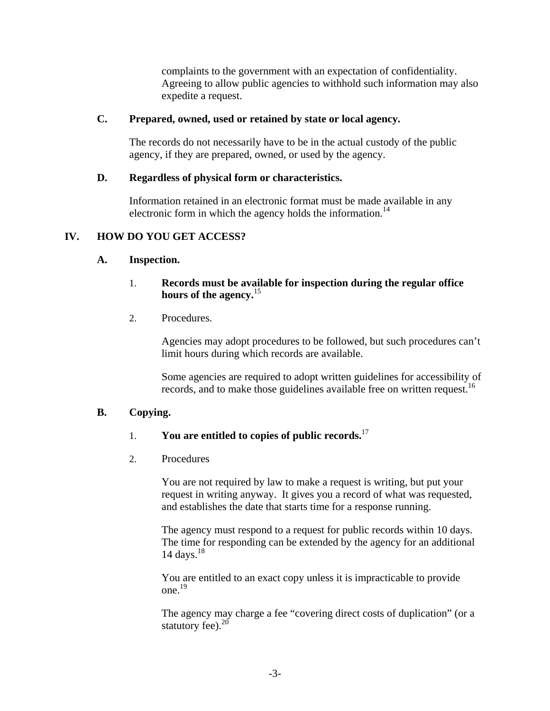complaints to the government with an expectation of confidentiality. Agreeing to allow public agencies to withhold such information may also expedite a request.

## **C. Prepared, owned, used or retained by state or local agency.**

The records do not necessarily have to be in the actual custody of the public agency, if they are prepared, owned, or used by the agency.

## **D. Regardless of physical form or characteristics.**

Information retained in an electronic format must be made available in any electronic form in which the agency holds the information.<sup>14</sup>

# **IV. HOW DO YOU GET ACCESS?**

#### **A. Inspection.**

## 1. **Records must be available for inspection during the regular office hours of the agency.**<sup>15</sup>

2. Procedures.

Agencies may adopt procedures to be followed, but such procedures can't limit hours during which records are available.

Some agencies are required to adopt written guidelines for accessibility of records, and to make those guidelines available free on written request.<sup>16</sup>

# **B. Copying.**

# 1. **You are entitled to copies of public records.**<sup>17</sup>

2. Procedures

You are not required by law to make a request is writing, but put your request in writing anyway. It gives you a record of what was requested, and establishes the date that starts time for a response running.

The agency must respond to a request for public records within 10 days. The time for responding can be extended by the agency for an additional 14 days. $18$ 

You are entitled to an exact copy unless it is impracticable to provide one.19

The agency may charge a fee "covering direct costs of duplication" (or a statutory fee). $20$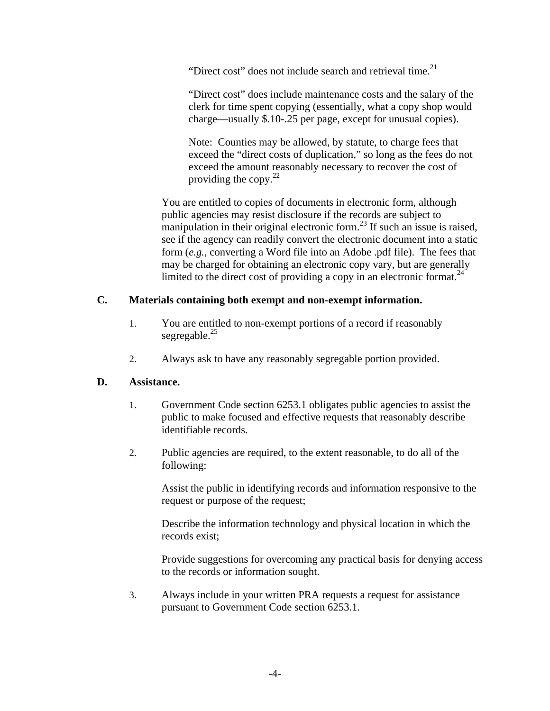"Direct cost" does not include search and retrieval time. $2<sup>1</sup>$ 

"Direct cost" does include maintenance costs and the salary of the clerk for time spent copying (essentially, what a copy shop would charge—usually \$.10-.25 per page, except for unusual copies).

Note: Counties may be allowed, by statute, to charge fees that exceed the "direct costs of duplication," so long as the fees do not exceed the amount reasonably necessary to recover the cost of providing the copy. $^{22}$ 

You are entitled to copies of documents in electronic form, although public agencies may resist disclosure if the records are subject to manipulation in their original electronic form.<sup>23</sup> If such an issue is raised, see if the agency can readily convert the electronic document into a static form (*e.g.*, converting a Word file into an Adobe .pdf file). The fees that may be charged for obtaining an electronic copy vary, but are generally limited to the direct cost of providing a copy in an electronic format.<sup>24</sup>

# **C. Materials containing both exempt and non-exempt information.**

- 1. You are entitled to non-exempt portions of a record if reasonably segregable. $^{25}$
- 2. Always ask to have any reasonably segregable portion provided.

# **D. Assistance.**

- 1. Government Code section 6253.1 obligates public agencies to assist the public to make focused and effective requests that reasonably describe identifiable records.
- 2. Public agencies are required, to the extent reasonable, to do all of the following:

Assist the public in identifying records and information responsive to the request or purpose of the request;

Describe the information technology and physical location in which the records exist;

Provide suggestions for overcoming any practical basis for denying access to the records or information sought.

3. Always include in your written PRA requests a request for assistance pursuant to Government Code section 6253.1.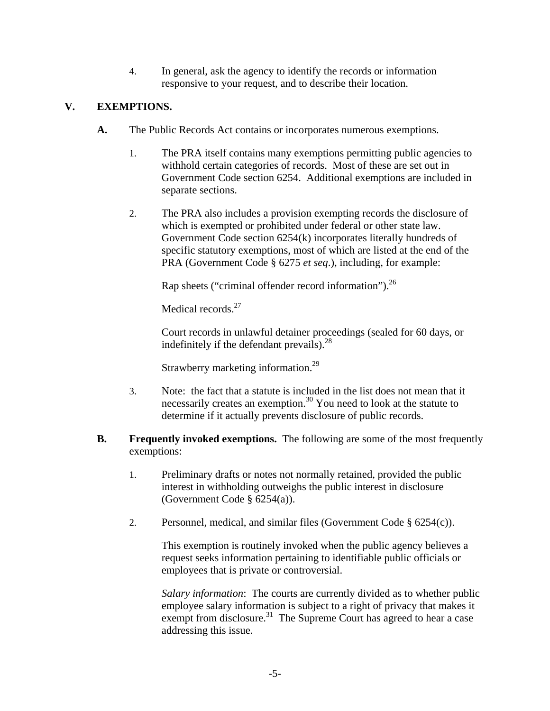4. In general, ask the agency to identify the records or information responsive to your request, and to describe their location.

# **V. EXEMPTIONS.**

- **A.** The Public Records Act contains or incorporates numerous exemptions.
	- 1. The PRA itself contains many exemptions permitting public agencies to withhold certain categories of records. Most of these are set out in Government Code section 6254. Additional exemptions are included in separate sections.
	- 2. The PRA also includes a provision exempting records the disclosure of which is exempted or prohibited under federal or other state law. Government Code section 6254(k) incorporates literally hundreds of specific statutory exemptions, most of which are listed at the end of the PRA (Government Code § 6275 *et seq*.), including, for example:

Rap sheets ("criminal offender record information").26

Medical records.<sup>27</sup>

Court records in unlawful detainer proceedings (sealed for 60 days, or indefinitely if the defendant prevails).<sup>28</sup>

Strawberry marketing information.29

- 3. Note: the fact that a statute is included in the list does not mean that it necessarily creates an exemption.<sup>30</sup> You need to look at the statute to determine if it actually prevents disclosure of public records.
- **B. Frequently invoked exemptions.** The following are some of the most frequently exemptions:
	- 1. Preliminary drafts or notes not normally retained, provided the public interest in withholding outweighs the public interest in disclosure (Government Code § 6254(a)).
	- 2. Personnel, medical, and similar files (Government Code  $\S$  6254(c)).

This exemption is routinely invoked when the public agency believes a request seeks information pertaining to identifiable public officials or employees that is private or controversial.

*Salary information*: The courts are currently divided as to whether public employee salary information is subject to a right of privacy that makes it exempt from disclosure.<sup>31</sup> The Supreme Court has agreed to hear a case addressing this issue.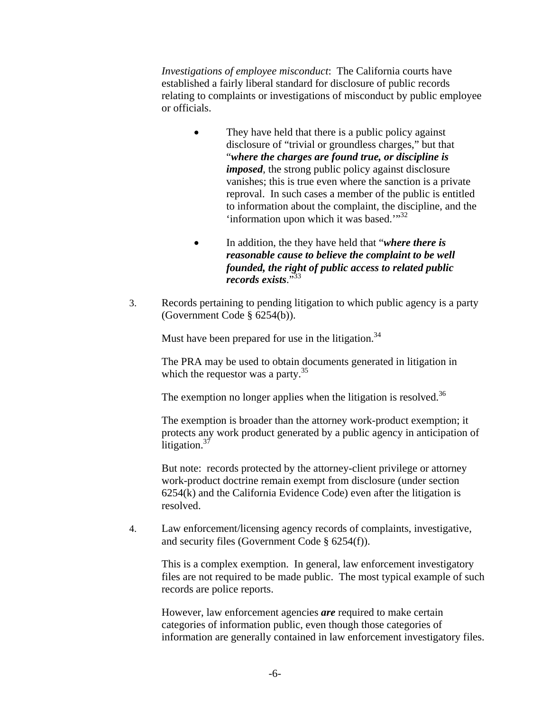*Investigations of employee misconduct*: The California courts have established a fairly liberal standard for disclosure of public records relating to complaints or investigations of misconduct by public employee or officials.

- They have held that there is a public policy against disclosure of "trivial or groundless charges," but that "*where the charges are found true, or discipline is imposed*, the strong public policy against disclosure vanishes; this is true even where the sanction is a private reproval. In such cases a member of the public is entitled to information about the complaint, the discipline, and the 'information upon which it was based."<sup>32</sup>
- In addition, the they have held that "*where there is reasonable cause to believe the complaint to be well founded, the right of public access to related public records exists*."33
- 3. Records pertaining to pending litigation to which public agency is a party (Government Code § 6254(b)).

Must have been prepared for use in the litigation.<sup>34</sup>

The PRA may be used to obtain documents generated in litigation in which the requestor was a party. $35$ 

The exemption no longer applies when the litigation is resolved.<sup>36</sup>

The exemption is broader than the attorney work-product exemption; it protects any work product generated by a public agency in anticipation of litigation.<sup>37</sup>

But note: records protected by the attorney-client privilege or attorney work-product doctrine remain exempt from disclosure (under section 6254(k) and the California Evidence Code) even after the litigation is resolved.

4. Law enforcement/licensing agency records of complaints, investigative, and security files (Government Code § 6254(f)).

This is a complex exemption. In general, law enforcement investigatory files are not required to be made public. The most typical example of such records are police reports.

However, law enforcement agencies *are* required to make certain categories of information public, even though those categories of information are generally contained in law enforcement investigatory files.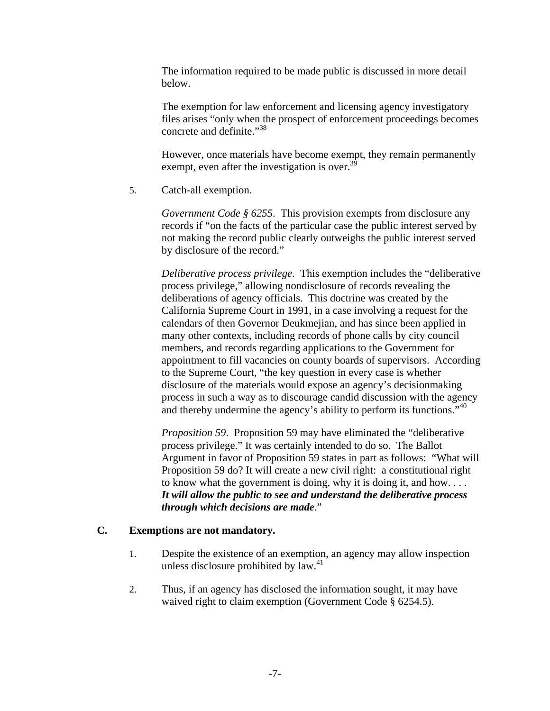The information required to be made public is discussed in more detail below.

The exemption for law enforcement and licensing agency investigatory files arises "only when the prospect of enforcement proceedings becomes concrete and definite."<sup>38</sup>

However, once materials have become exempt, they remain permanently exempt, even after the investigation is over.<sup>39</sup>

5. Catch-all exemption.

*Government Code § 6255*. This provision exempts from disclosure any records if "on the facts of the particular case the public interest served by not making the record public clearly outweighs the public interest served by disclosure of the record."

*Deliberative process privilege*. This exemption includes the "deliberative process privilege," allowing nondisclosure of records revealing the deliberations of agency officials. This doctrine was created by the California Supreme Court in 1991, in a case involving a request for the calendars of then Governor Deukmejian, and has since been applied in many other contexts, including records of phone calls by city council members, and records regarding applications to the Government for appointment to fill vacancies on county boards of supervisors. According to the Supreme Court, "the key question in every case is whether disclosure of the materials would expose an agency's decisionmaking process in such a way as to discourage candid discussion with the agency and thereby undermine the agency's ability to perform its functions."<sup>40</sup>

*Proposition 59*. Proposition 59 may have eliminated the "deliberative process privilege." It was certainly intended to do so. The Ballot Argument in favor of Proposition 59 states in part as follows: "What will Proposition 59 do? It will create a new civil right: a constitutional right to know what the government is doing, why it is doing it, and how. . . . *It will allow the public to see and understand the deliberative process through which decisions are made*."

# **C. Exemptions are not mandatory.**

- 1. Despite the existence of an exemption, an agency may allow inspection unless disclosure prohibited by  $law<sup>41</sup>$ .
- 2. Thus, if an agency has disclosed the information sought, it may have waived right to claim exemption (Government Code § 6254.5).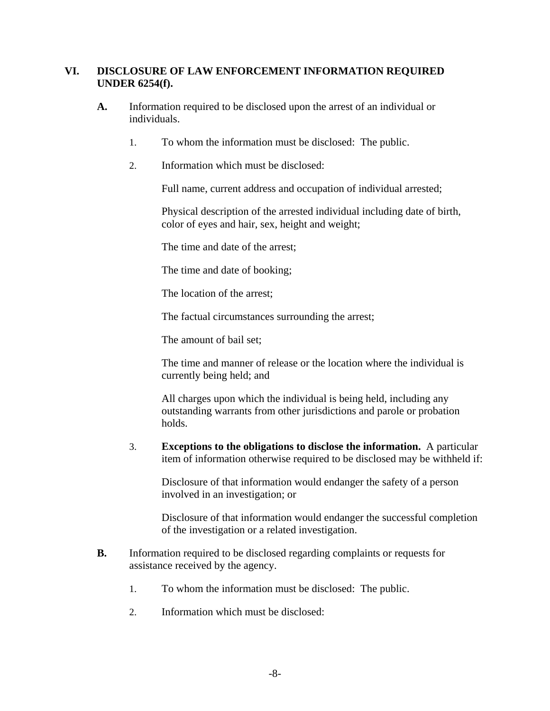## **VI. DISCLOSURE OF LAW ENFORCEMENT INFORMATION REQUIRED UNDER 6254(f).**

- **A.** Information required to be disclosed upon the arrest of an individual or individuals.
	- 1. To whom the information must be disclosed: The public.
	- 2. Information which must be disclosed:

Full name, current address and occupation of individual arrested;

Physical description of the arrested individual including date of birth, color of eyes and hair, sex, height and weight;

The time and date of the arrest;

The time and date of booking;

The location of the arrest;

The factual circumstances surrounding the arrest;

The amount of bail set;

The time and manner of release or the location where the individual is currently being held; and

All charges upon which the individual is being held, including any outstanding warrants from other jurisdictions and parole or probation holds.

3. **Exceptions to the obligations to disclose the information.** A particular item of information otherwise required to be disclosed may be withheld if:

Disclosure of that information would endanger the safety of a person involved in an investigation; or

Disclosure of that information would endanger the successful completion of the investigation or a related investigation.

- **B.** Information required to be disclosed regarding complaints or requests for assistance received by the agency.
	- 1. To whom the information must be disclosed: The public.
	- 2. Information which must be disclosed: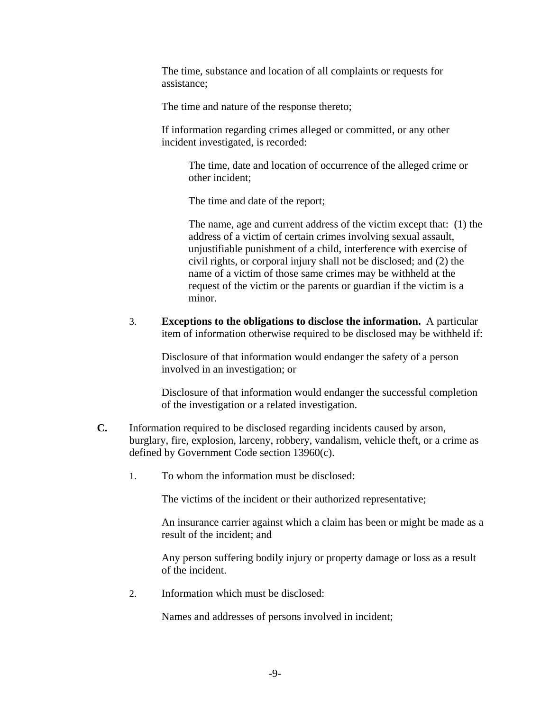The time, substance and location of all complaints or requests for assistance;

The time and nature of the response thereto;

If information regarding crimes alleged or committed, or any other incident investigated, is recorded:

The time, date and location of occurrence of the alleged crime or other incident;

The time and date of the report;

The name, age and current address of the victim except that: (1) the address of a victim of certain crimes involving sexual assault, unjustifiable punishment of a child, interference with exercise of civil rights, or corporal injury shall not be disclosed; and (2) the name of a victim of those same crimes may be withheld at the request of the victim or the parents or guardian if the victim is a minor.

3. **Exceptions to the obligations to disclose the information.** A particular item of information otherwise required to be disclosed may be withheld if:

Disclosure of that information would endanger the safety of a person involved in an investigation; or

Disclosure of that information would endanger the successful completion of the investigation or a related investigation.

- **C.** Information required to be disclosed regarding incidents caused by arson, burglary, fire, explosion, larceny, robbery, vandalism, vehicle theft, or a crime as defined by Government Code section 13960(c).
	- 1. To whom the information must be disclosed:

The victims of the incident or their authorized representative;

An insurance carrier against which a claim has been or might be made as a result of the incident; and

Any person suffering bodily injury or property damage or loss as a result of the incident.

2. Information which must be disclosed:

Names and addresses of persons involved in incident;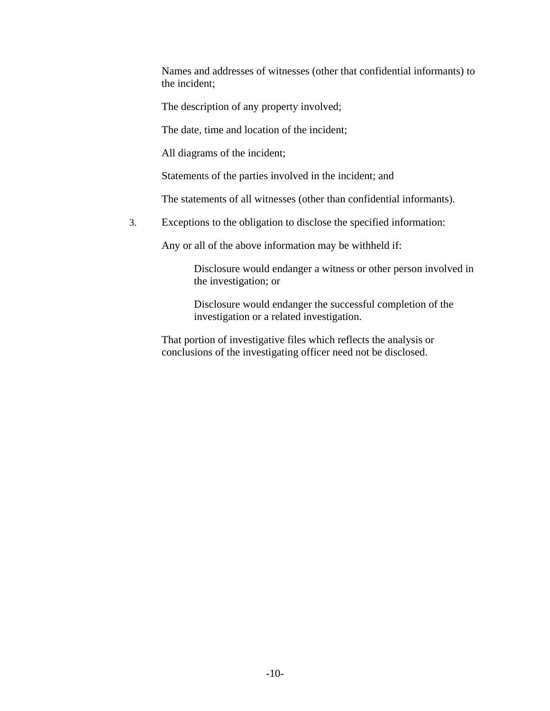Names and addresses of witnesses (other that confidential informants) to the incident;

The description of any property involved;

The date, time and location of the incident;

All diagrams of the incident;

Statements of the parties involved in the incident; and

The statements of all witnesses (other than confidential informants).

3. Exceptions to the obligation to disclose the specified information:

Any or all of the above information may be withheld if:

Disclosure would endanger a witness or other person involved in the investigation; or

Disclosure would endanger the successful completion of the investigation or a related investigation.

That portion of investigative files which reflects the analysis or conclusions of the investigating officer need not be disclosed.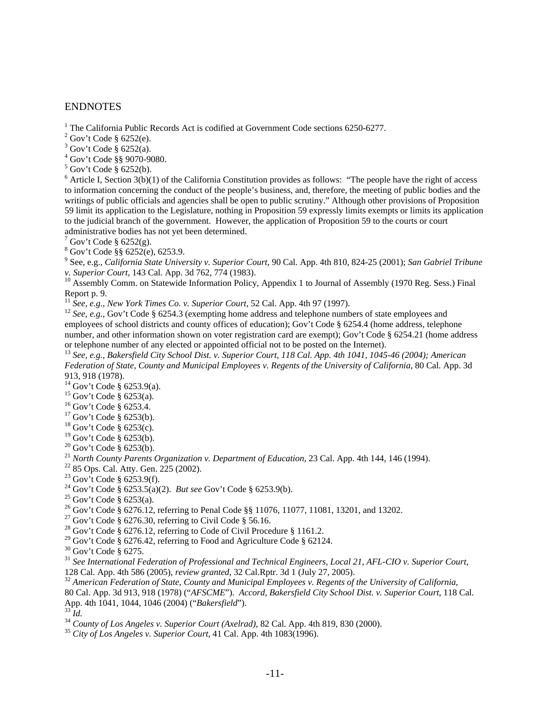#### ENDNOTES

<sup>1</sup> The California Public Records Act is codified at Government Code sections 6250-6277.

 $2^2$  Gov't Code § 6252(e).

 $3$  Gov't Code § 6252(a).

4 Gov't Code §§ 9070-9080.

 $<sup>5</sup>$  Gov't Code § 6252(b).</sup>

 $6$  Article I, Section 3(b)(1) of the California Constitution provides as follows: "The people have the right of access to information concerning the conduct of the people's business, and, therefore, the meeting of public bodies and the writings of public officials and agencies shall be open to public scrutiny." Although other provisions of Proposition 59 limit its application to the Legislature, nothing in Proposition 59 expressly limits exempts or limits its application to the judicial branch of the government. However, the application of Proposition 59 to the courts or court administrative bodies has not yet been determined.

 $7$  Gov't Code § 6252(g).

8 Gov't Code §§ 6252(e), 6253.9.

9 See, e.g., *California State University v. Superior Court*, 90 Cal. App. 4th 810, 824-25 (2001); *San Gabriel Tribune v. Superior Court*, 143 Cal. App. 3d 762, 774 (1983).<br><sup>10</sup> Assembly Comm. on Statewide Information Policy, Appendix 1 to Journal of Assembly (1970 Reg. Sess.) Final

Report p. 9.

11 *See, e.g., New York Times Co. v. Superior Court*, 52 Cal. App. 4th 97 (1997).<br><sup>12</sup> *See, e.g.*, Gov't Code § 6254.3 (exempting home address and telephone numbers of state employees and employees of school districts and county offices of education); Gov't Code § 6254.4 (home address, telephone number, and other information shown on voter registration card are exempt); Gov't Code § 6254.21 (home address or telephone number of any elected or appointed official not to be posted on the Internet).

<sup>13</sup> *See, e.g., Bakersfield City School Dist. v. Superior Court, 118 Cal. App. 4th 1041, 1045-46 (2004); American Federation of State, County and Municipal Employees v. Regents of the University of California*, 80 Cal. App. 3d 913, 918 (1978).

 $14$  Gov't Code § 6253.9(a).

15 Gov't Code § 6253(a).

16 Gov't Code § 6253.4.

 $17$  Gov't Code § 6253(b).

 $18$  Gov't Code § 6253(c).

 $19$  Gov't Code § 6253(b).

 $20$  Gov't Code § 6253(b).

<sup>21</sup> *North County Parents Organization v. Department of Education*, 23 Cal. App. 4th 144, 146 (1994). 22 85 Ops. Cal. Atty. Gen. 225 (2002).

<sup>23</sup> Gov't Code § 6253.9(f).

<sup>24</sup> Gov't Code § 6253.5(a)(2). *But see* Gov't Code § 6253.9(b).<br><sup>25</sup> Gov't Code § 6253(a).

26 Gov't Code § 6276.12, referring to Penal Code §§ 11076, 11077, 11081, 13201, and 13202.

<sup>27</sup> Gov't Code § 6276.30, referring to Civil Code § 56.16.

<sup>28</sup> Gov't Code § 6276.12, referring to Code of Civil Procedure § 1161.2.

<sup>29</sup> Gov't Code § 6276.42, referring to Food and Agriculture Code § 62124.

30 Gov't Code § 6275.

<sup>31</sup> *See International Federation of Professional and Technical Engineers, Local 21, AFL-CIO v. Superior Court,* 128 Cal. App. 4th 586 (2005), *review granted, 32 Cal.Rptr. 3d 1 (July 27, 2005)*.

<sup>32</sup> American Federation of State, County and Municipal Employees v. Regents of the University of California, 80 Cal. App. 3d 913, 918 (1978) ("*AFSCME*"). *Accord, Bakersfield City School Dist. v. Superior Court*, 118 Cal.

<sup>34</sup> County of Los Angeles v. Superior Court (Axelrad), 82 Cal. App. 4th 819, 830 (2000).<br><sup>35</sup> City of Los Angeles v. Superior Court, 41 Cal. App. 4th 1083(1996).